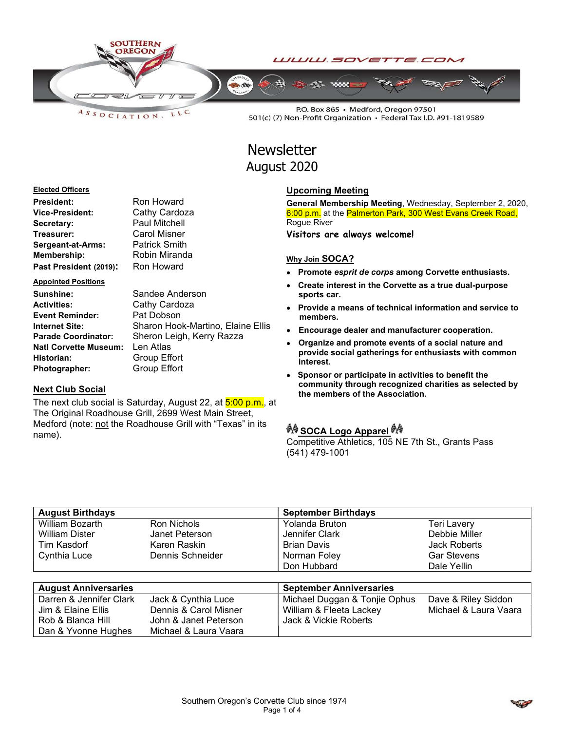

LLC  $A S S O C I AT I O N.$ 

P.O. Box 865 · Medford, Oregon 97501 501(c) (7) Non-Profit Organization · Federal Tax I.D. #91-1819589

# **Newsletter** August 2020

#### Elected Officers

| <b>President:</b>      | Ron Howard           |
|------------------------|----------------------|
| Vice-President:        | Cathy Cardoza        |
| Secretary:             | <b>Paul Mitchell</b> |
| Treasurer:             | <b>Carol Misner</b>  |
| Sergeant-at-Arms:      | <b>Patrick Smith</b> |
| Membership:            | Robin Miranda        |
| Past President (2019): | Ron Howard           |

#### Appointed Positions

| Sunshine:                    | Sandee Anderson                   |
|------------------------------|-----------------------------------|
| <b>Activities:</b>           | Cathy Cardoza                     |
| <b>Event Reminder:</b>       | Pat Dobson                        |
| <b>Internet Site:</b>        | Sharon Hook-Martino, Elaine Ellis |
| <b>Parade Coordinator:</b>   | Sheron Leigh, Kerry Razza         |
| <b>Natl Corvette Museum:</b> | Len Atlas                         |
| Historian:                   | Group Effort                      |
| Photographer:                | <b>Group Effort</b>               |

#### Next Club Social

The next club social is Saturday, August 22, at 5:00 p.m., at The Original Roadhouse Grill, 2699 West Main Street, Medford (note: not the Roadhouse Grill with "Texas" in its name).

#### Upcoming Meeting

General Membership Meeting, Wednesday, September 2, 2020, 6:00 p.m. at the Palmerton Park, 300 West Evans Creek Road, Rogue River

Visitors are always welcome!

#### Why Join SOCA?

- Promote esprit de corps among Corvette enthusiasts.
- Create interest in the Corvette as a true dual-purpose sports car.
- Provide a means of technical information and service to members.
- Encourage dealer and manufacturer cooperation.
- Organize and promote events of a social nature and provide social gatherings for enthusiasts with common interest.
- Sponsor or participate in activities to benefit the community through recognized charities as selected by the members of the Association.

## ग्रै∲ SOCA Logo Apparel ग्रै∲

Competitive Athletics, 105 NE 7th St., Grants Pass (541) 479-1001

| <b>August Birthdays</b>     |                       | <b>September Birthdays</b>     |                       |
|-----------------------------|-----------------------|--------------------------------|-----------------------|
| William Bozarth             | Ron Nichols           | Yolanda Bruton                 | Teri Lavery           |
| <b>William Dister</b>       | Janet Peterson        | Jennifer Clark                 | Debbie Miller         |
| Tim Kasdorf                 | Karen Raskin          | <b>Brian Davis</b>             | Jack Roberts          |
| Cynthia Luce                | Dennis Schneider      | Norman Foley                   | <b>Gar Stevens</b>    |
|                             |                       | Don Hubbard                    | Dale Yellin           |
|                             |                       |                                |                       |
| <b>August Anniversaries</b> |                       | <b>September Anniversaries</b> |                       |
| Darren & Jennifer Clark     | Jack & Cynthia Luce   | Michael Duggan & Tonjie Ophus  | Dave & Riley Siddon   |
| Jim & Elaine Ellis          | Dennis & Carol Misner | William & Fleeta Lackey        | Michael & Laura Vaara |
| Rob & Blanca Hill           | John & Janet Peterson | Jack & Vickie Roberts          |                       |
| Dan & Yvonne Hughes         | Michael & Laura Vaara |                                |                       |

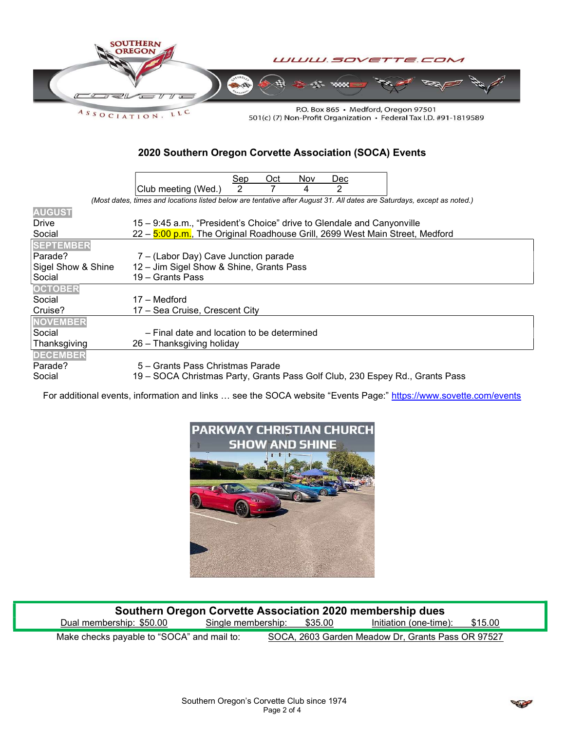

501(c) (7) Non-Profit Organization • Federal Tax I.D. #91-1819589

## 2020 Southern Oregon Corvette Association (SOCA) Events

|                    | Sep<br>Oct<br>Nov<br>Dec                                                                                                |
|--------------------|-------------------------------------------------------------------------------------------------------------------------|
|                    | Club meeting (Wed.)<br>2<br>2<br>4                                                                                      |
|                    | (Most dates, times and locations listed below are tentative after August 31. All dates are Saturdays, except as noted.) |
| <b>AUGUST</b>      |                                                                                                                         |
| Drive              | 15 - 9:45 a.m., "President's Choice" drive to Glendale and Canyonville                                                  |
| Social             | 22 – 5:00 p.m., The Original Roadhouse Grill, 2699 West Main Street, Medford                                            |
| <b>SEPTEMBER</b>   |                                                                                                                         |
| Parade?            | 7 – (Labor Day) Cave Junction parade                                                                                    |
| Sigel Show & Shine | 12 – Jim Sigel Show & Shine, Grants Pass                                                                                |
| Social             | 19 - Grants Pass                                                                                                        |
| <b>OCTOBER</b>     |                                                                                                                         |
| Social             | 17 – Medford                                                                                                            |
| Cruise?            | 17 – Sea Cruise, Crescent City                                                                                          |
| <b>NOVEMBER</b>    |                                                                                                                         |
| Social             | - Final date and location to be determined                                                                              |
| Thanksgiving       | 26 – Thanksgiving holiday                                                                                               |
| <b>DECEMBER</b>    |                                                                                                                         |
| Parade?            | 5 – Grants Pass Christmas Parade                                                                                        |
| Social             | 19 - SOCA Christmas Party, Grants Pass Golf Club, 230 Espey Rd., Grants Pass                                            |

For additional events, information and links ... see the SOCA website "Events Page:" https://www.sovette.com/events



| Southern Oregon Corvette Association 2020 membership dues |                    |         |                                                   |         |
|-----------------------------------------------------------|--------------------|---------|---------------------------------------------------|---------|
| Dual membership: \$50.00                                  | Single membership: | \$35.00 | Initiation (one-time):                            | \$15.00 |
| Make checks payable to "SOCA" and mail to:                |                    |         | SOCA, 2603 Garden Meadow Dr, Grants Pass OR 97527 |         |

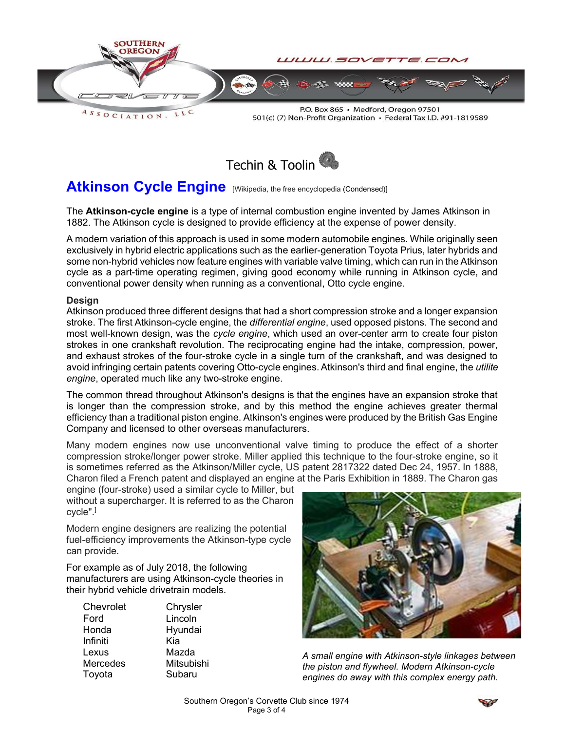

P.O. Box 865 · Medford, Oregon 97501 501(c) (7) Non-Profit Organization • Federal Tax I.D. #91-1819589



# Atkinson Cycle Engine [Wikipedia, the free encyclopedia (Condensed)]

The **Atkinson-cycle engine** is a type of internal combustion engine invented by James Atkinson in 1882. The Atkinson cycle is designed to provide efficiency at the expense of power density.

A modern variation of this approach is used in some modern automobile engines. While originally seen exclusively in hybrid electric applications such as the earlier-generation Toyota Prius, later hybrids and some non-hybrid vehicles now feature engines with variable valve timing, which can run in the Atkinson cycle as a part-time operating regimen, giving good economy while running in Atkinson cycle, and conventional power density when running as a conventional, Otto cycle engine.

### Design

Atkinson produced three different designs that had a short compression stroke and a longer expansion stroke. The first Atkinson-cycle engine, the *differential engine*, used opposed pistons. The second and most well-known design, was the cycle engine, which used an over-center arm to create four piston strokes in one crankshaft revolution. The reciprocating engine had the intake, compression, power, and exhaust strokes of the four-stroke cycle in a single turn of the crankshaft, and was designed to avoid infringing certain patents covering Otto-cycle engines. Atkinson's third and final engine, the *utilite* engine, operated much like any two-stroke engine.

The common thread throughout Atkinson's designs is that the engines have an expansion stroke that is longer than the compression stroke, and by this method the engine achieves greater thermal efficiency than a traditional piston engine. Atkinson's engines were produced by the British Gas Engine Company and licensed to other overseas manufacturers.

Many modern engines now use unconventional valve timing to produce the effect of a shorter compression stroke/longer power stroke. Miller applied this technique to the four-stroke engine, so it is sometimes referred as the Atkinson/Miller cycle, US patent 2817322 dated Dec 24, 1957. In 1888, Charon filed a French patent and displayed an engine at the Paris Exhibition in 1889. The Charon gas

engine (four-stroke) used a similar cycle to Miller, but without a supercharger. It is referred to as the Charon cycle".]

Modern engine designers are realizing the potential fuel-efficiency improvements the Atkinson-type cycle can provide.

For example as of July 2018, the following manufacturers are using Atkinson-cycle theories in their hybrid vehicle drivetrain models.

Chevrolet Chrysler Ford Lincoln Honda Hyundai Infiniti Kia Lexus Mazda Mercedes Mitsubishi Toyota Subaru



A small engine with Atkinson-style linkages between the piston and flywheel. Modern Atkinson-cycle engines do away with this complex energy path.